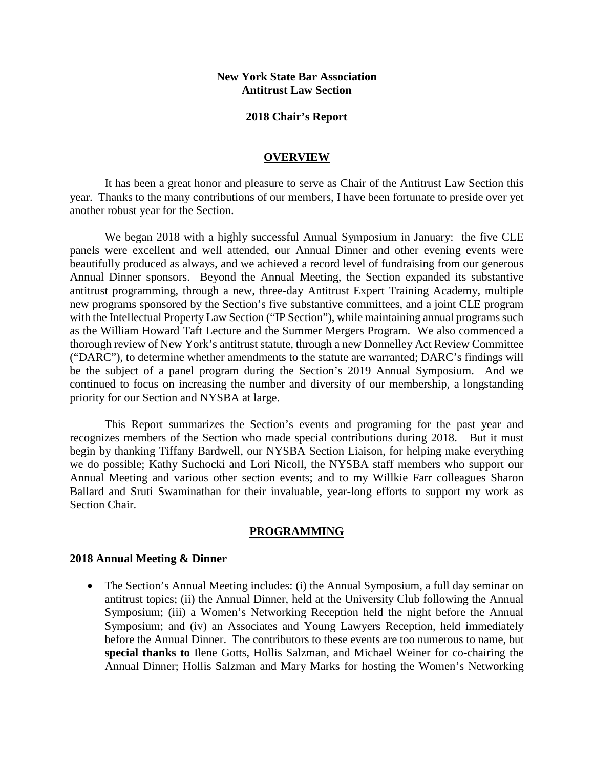### **New York State Bar Association Antitrust Law Section**

#### **2018 Chair's Report**

#### **OVERVIEW**

It has been a great honor and pleasure to serve as Chair of the Antitrust Law Section this year. Thanks to the many contributions of our members, I have been fortunate to preside over yet another robust year for the Section.

We began 2018 with a highly successful Annual Symposium in January: the five CLE panels were excellent and well attended, our Annual Dinner and other evening events were beautifully produced as always, and we achieved a record level of fundraising from our generous Annual Dinner sponsors. Beyond the Annual Meeting, the Section expanded its substantive antitrust programming, through a new, three-day Antitrust Expert Training Academy, multiple new programs sponsored by the Section's five substantive committees, and a joint CLE program with the Intellectual Property Law Section ("IP Section"), while maintaining annual programs such as the William Howard Taft Lecture and the Summer Mergers Program. We also commenced a thorough review of New York's antitrust statute, through a new Donnelley Act Review Committee ("DARC"), to determine whether amendments to the statute are warranted; DARC's findings will be the subject of a panel program during the Section's 2019 Annual Symposium. And we continued to focus on increasing the number and diversity of our membership, a longstanding priority for our Section and NYSBA at large.

This Report summarizes the Section's events and programing for the past year and recognizes members of the Section who made special contributions during 2018. But it must begin by thanking Tiffany Bardwell, our NYSBA Section Liaison, for helping make everything we do possible; Kathy Suchocki and Lori Nicoll, the NYSBA staff members who support our Annual Meeting and various other section events; and to my Willkie Farr colleagues Sharon Ballard and Sruti Swaminathan for their invaluable, year-long efforts to support my work as Section Chair.

#### **PROGRAMMING**

#### **2018 Annual Meeting & Dinner**

• The Section's Annual Meeting includes: (i) the Annual Symposium, a full day seminar on antitrust topics; (ii) the Annual Dinner, held at the University Club following the Annual Symposium; (iii) a Women's Networking Reception held the night before the Annual Symposium; and (iv) an Associates and Young Lawyers Reception, held immediately before the Annual Dinner. The contributors to these events are too numerous to name, but **special thanks to** Ilene Gotts, Hollis Salzman, and Michael Weiner for co-chairing the Annual Dinner; Hollis Salzman and Mary Marks for hosting the Women's Networking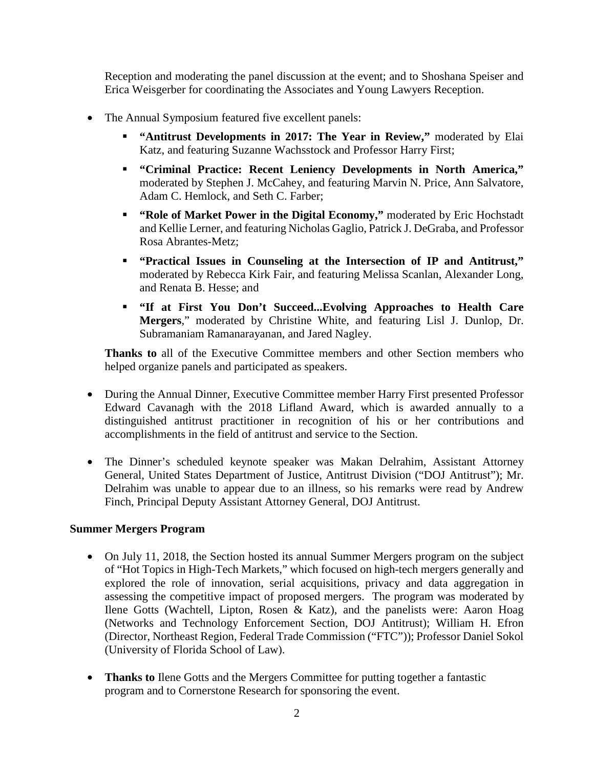Reception and moderating the panel discussion at the event; and to Shoshana Speiser and Erica Weisgerber for coordinating the Associates and Young Lawyers Reception.

- The Annual Symposium featured five excellent panels:
	- **"** ["Antitrust Developments in 2017: The Year in Review,](https://www.nysba.org/WorkArea/DownloadAsset.aspx?id=87129)" moderated by Elai Katz, and featuring Suzanne Wachsstock and Professor Harry First;
	- **"Criminal Practice: Recent Leniency Developments in North America,"** moderated by Stephen J. McCahey, and featuring Marvin N. Price, Ann Salvatore, Adam C. Hemlock, and Seth C. Farber;
	- **["Role of Market Power in the Digital Economy,](https://www.nysba.org/WorkArea/DownloadAsset.aspx?id=87130)"** moderated by Eric Hochstadt and Kellie Lerner, and featuring Nicholas Gaglio, Patrick J. DeGraba, and Professor Rosa Abrantes-Metz;
	- **"Practical Issues in Counseling at the Intersection of IP and Antitrust,"** moderated by Rebecca Kirk Fair, and featuring Melissa Scanlan, Alexander Long, and Renata B. Hesse; and
	- **"If at First You Don't Succeed...Evolving Approaches to Health Care Mergers**," moderated by Christine White, and featuring Lisl J. Dunlop, Dr. Subramaniam Ramanarayanan, and Jared Nagley.

**Thanks to** all of the Executive Committee members and other Section members who helped organize panels and participated as speakers.

- During the Annual Dinner, Executive Committee member Harry First presented Professor Edward Cavanagh with the 2018 Lifland Award, which is awarded annually to a distinguished antitrust practitioner in recognition of his or her contributions and accomplishments in the field of antitrust and service to the Section.
- The Dinner's scheduled keynote speaker was Makan Delrahim, Assistant Attorney General, United States Department of Justice, Antitrust Division ("DOJ Antitrust"); Mr. Delrahim was unable to appear due to an illness, so his remarks were read by Andrew Finch, Principal Deputy Assistant Attorney General, DOJ Antitrust.

### **Summer Mergers Program**

- On July 11, 2018, the Section hosted its annual Summer Mergers program on the subject of "Hot Topics in High-Tech Markets," which focused on high-tech mergers generally and explored the role of innovation, serial acquisitions, privacy and data aggregation in assessing the competitive impact of proposed mergers. The program was moderated by Ilene Gotts (Wachtell, Lipton, Rosen & Katz), and the panelists were: Aaron Hoag (Networks and Technology Enforcement Section, DOJ Antitrust); William H. Efron (Director, Northeast Region, Federal Trade Commission ("FTC")); Professor Daniel Sokol (University of Florida School of Law).
- **Thanks to** Ilene Gotts and the Mergers Committee for putting together a fantastic program and to Cornerstone Research for sponsoring the event.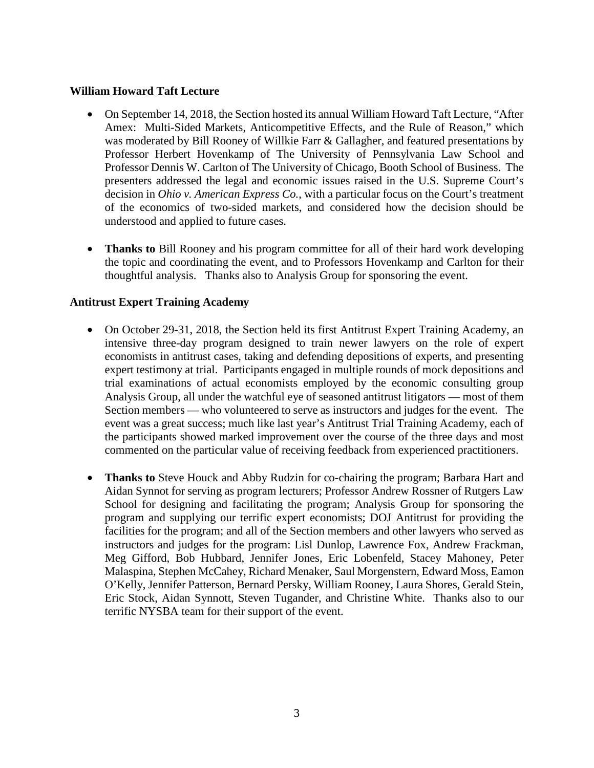### **William Howard Taft Lecture**

- On September 14, 2018, the Section hosted its annual William Howard Taft Lecture, "After Amex: Multi-Sided Markets, Anticompetitive Effects, and the Rule of Reason," which was moderated by Bill Rooney of Willkie Farr & Gallagher, and featured presentations by Professor Herbert Hovenkamp of The University of Pennsylvania Law School and Professor Dennis W. Carlton of The University of Chicago, Booth School of Business. The presenters addressed the legal and economic issues raised in the U.S. Supreme Court's decision in *Ohio v. American Express Co.*, with a particular focus on the Court's treatment of the economics of two-sided markets, and considered how the decision should be understood and applied to future cases.
- **Thanks to** Bill Rooney and his program committee for all of their hard work developing the topic and coordinating the event, and to Professors Hovenkamp and Carlton for their thoughtful analysis. Thanks also to Analysis Group for sponsoring the event.

## **Antitrust Expert Training Academy**

- On October 29-31, 2018, the Section held its first Antitrust Expert Training Academy, an intensive three-day program designed to train newer lawyers on the role of expert economists in antitrust cases, taking and defending depositions of experts, and presenting expert testimony at trial. Participants engaged in multiple rounds of mock depositions and trial examinations of actual economists employed by the economic consulting group Analysis Group, all under the watchful eye of seasoned antitrust litigators — most of them Section members — who volunteered to serve as instructors and judges for the event. The event was a great success; much like last year's Antitrust Trial Training Academy, each of the participants showed marked improvement over the course of the three days and most commented on the particular value of receiving feedback from experienced practitioners.
- **Thanks to** Steve Houck and Abby Rudzin for co-chairing the program; Barbara Hart and Aidan Synnot for serving as program lecturers; Professor Andrew Rossner of Rutgers Law School for designing and facilitating the program; Analysis Group for sponsoring the program and supplying our terrific expert economists; DOJ Antitrust for providing the facilities for the program; and all of the Section members and other lawyers who served as instructors and judges for the program: Lisl Dunlop, Lawrence Fox, Andrew Frackman, Meg Gifford, Bob Hubbard, Jennifer Jones, Eric Lobenfeld, Stacey Mahoney, Peter Malaspina, Stephen McCahey, Richard Menaker, Saul Morgenstern, Edward Moss, Eamon O'Kelly, Jennifer Patterson, Bernard Persky, William Rooney, Laura Shores, Gerald Stein, Eric Stock, Aidan Synnott, Steven Tugander, and Christine White. Thanks also to our terrific NYSBA team for their support of the event.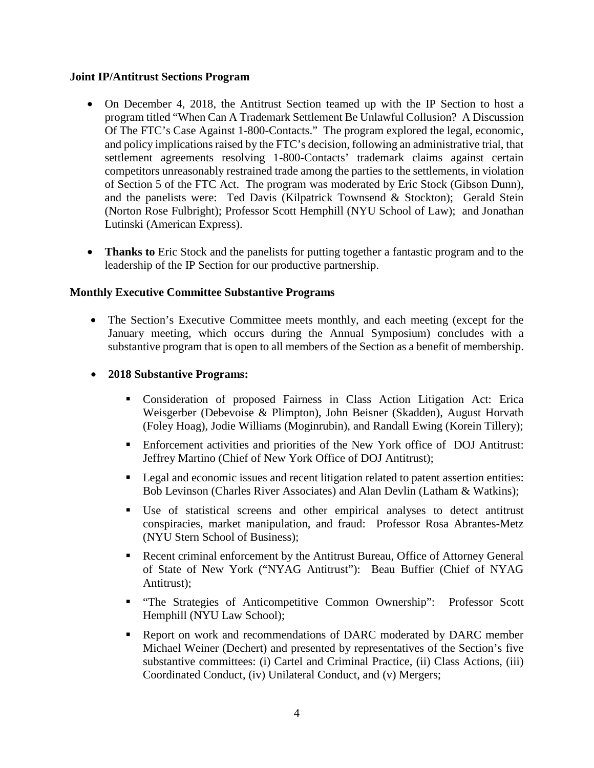### **Joint IP/Antitrust Sections Program**

- On December 4, 2018, the Antitrust Section teamed up with the IP Section to host a program titled "When Can A Trademark Settlement Be Unlawful Collusion? A Discussion Of The FTC's Case Against 1-800-Contacts." The program explored the legal, economic, and policy implications raised by the FTC's decision, following an administrative trial, that settlement agreements resolving 1-800-Contacts' trademark claims against certain competitors unreasonably restrained trade among the parties to the settlements, in violation of Section 5 of the FTC Act. The program was moderated by Eric Stock (Gibson Dunn), and the panelists were: Ted Davis (Kilpatrick Townsend & Stockton); Gerald Stein (Norton Rose Fulbright); Professor Scott Hemphill (NYU School of Law); and Jonathan Lutinski (American Express).
- **Thanks to** Eric Stock and the panelists for putting together a fantastic program and to the leadership of the IP Section for our productive partnership.

# **Monthly Executive Committee Substantive Programs**

- The Section's Executive Committee meets monthly, and each meeting (except for the January meeting, which occurs during the Annual Symposium) concludes with a substantive program that is open to all members of the Section as a benefit of membership.
- **2018 Substantive Programs:** 
	- Consideration of proposed Fairness in Class Action Litigation Act: Erica Weisgerber (Debevoise & Plimpton), John Beisner (Skadden), August Horvath (Foley Hoag), Jodie Williams (Moginrubin), and Randall Ewing (Korein Tillery);
	- Enforcement activities and priorities of the New York office of DOJ Antitrust: Jeffrey Martino (Chief of New York Office of DOJ Antitrust);
	- **Legal and economic issues and recent litigation related to patent assertion entities:** Bob Levinson (Charles River Associates) and Alan Devlin (Latham & Watkins);
	- Use of statistical screens and other empirical analyses to detect antitrust conspiracies, market manipulation, and fraud: Professor Rosa Abrantes-Metz (NYU Stern School of Business);
	- Recent criminal enforcement by the Antitrust Bureau, Office of Attorney General of State of New York ("NYAG Antitrust"): Beau Buffier (Chief of NYAG Antitrust);
	- "The Strategies of Anticompetitive Common Ownership": Professor Scott Hemphill (NYU Law School);
	- Report on work and recommendations of DARC moderated by DARC member Michael Weiner (Dechert) and presented by representatives of the Section's five substantive committees: (i) Cartel and Criminal Practice, (ii) Class Actions, (iii) Coordinated Conduct, (iv) Unilateral Conduct, and (v) Mergers;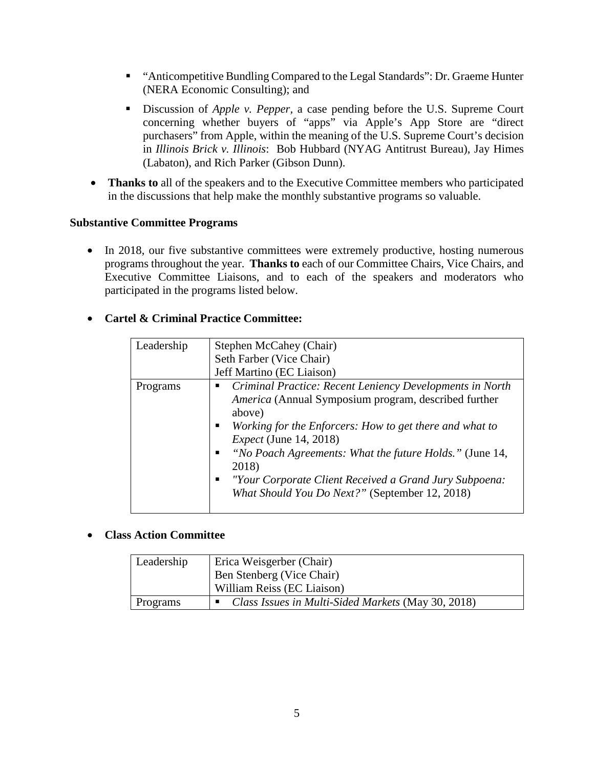- "Anticompetitive Bundling Compared to the Legal Standards": Dr. Graeme Hunter (NERA Economic Consulting); and
- Discussion of *Apple v. Pepper,* a case pending before the U.S. Supreme Court concerning whether buyers of "apps" via Apple's App Store are "direct purchasers" from Apple, within the meaning of the U.S. Supreme Court's decision in *Illinois Brick v. Illinois*: Bob Hubbard (NYAG Antitrust Bureau), Jay Himes (Labaton), and Rich Parker (Gibson Dunn).
- **Thanks to** all of the speakers and to the Executive Committee members who participated in the discussions that help make the monthly substantive programs so valuable.

## **Substantive Committee Programs**

• In 2018, our five substantive committees were extremely productive, hosting numerous programs throughout the year. **Thanks to** each of our Committee Chairs, Vice Chairs, and Executive Committee Liaisons, and to each of the speakers and moderators who participated in the programs listed below.

| rtel & Criminal Practice Committee: |                                                                                                                                                                                                                                                                                                                                                                                                                      |  |
|-------------------------------------|----------------------------------------------------------------------------------------------------------------------------------------------------------------------------------------------------------------------------------------------------------------------------------------------------------------------------------------------------------------------------------------------------------------------|--|
| Leadership                          | Stephen McCahey (Chair)                                                                                                                                                                                                                                                                                                                                                                                              |  |
|                                     | Seth Farber (Vice Chair)                                                                                                                                                                                                                                                                                                                                                                                             |  |
|                                     | Jeff Martino (EC Liaison)                                                                                                                                                                                                                                                                                                                                                                                            |  |
| Programs                            | • Criminal Practice: Recent Leniency Developments in North<br><i>America</i> (Annual Symposium program, described further<br>above)<br>Working for the Enforcers: How to get there and what to<br><i>Expect</i> (June 14, 2018)<br>"No Poach Agreements: What the future Holds." (June 14,<br>п<br>2018)<br>"Your Corporate Client Received a Grand Jury Subpoena:<br>What Should You Do Next?" (September 12, 2018) |  |

# **Cartel & Crim**

# • **Class Action Committee**

| Leadership | Erica Weisgerber (Chair)                           |
|------------|----------------------------------------------------|
|            | Ben Stenberg (Vice Chair)                          |
|            | William Reiss (EC Liaison)                         |
| Programs   | Class Issues in Multi-Sided Markets (May 30, 2018) |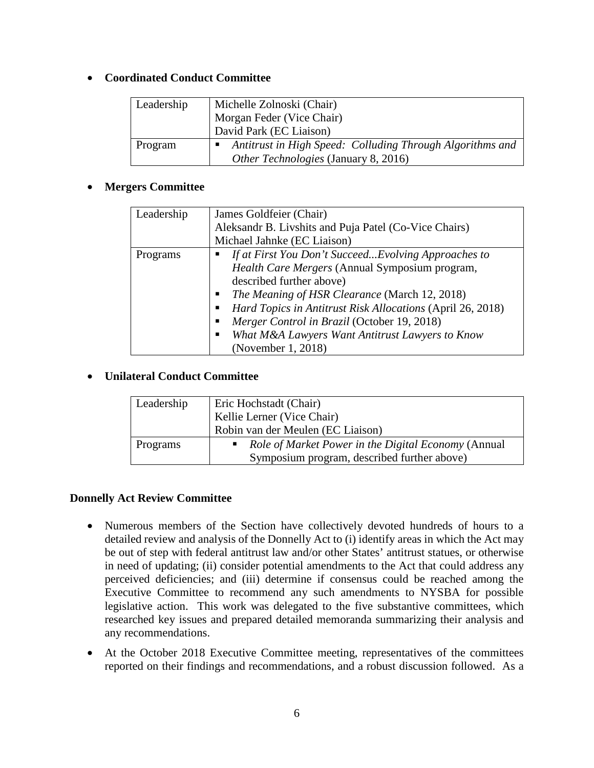# • **Coordinated Conduct Committee**

| Leadership | Michelle Zolnoski (Chair)                                 |
|------------|-----------------------------------------------------------|
|            | Morgan Feder (Vice Chair)                                 |
|            | David Park (EC Liaison)                                   |
| Program    | Antitrust in High Speed: Colluding Through Algorithms and |
|            | Other Technologies (January 8, 2016)                      |

# • **Mergers Committee**

| Leadership | James Goldfeier (Chair)                                    |
|------------|------------------------------------------------------------|
|            | Aleksandr B. Livshits and Puja Patel (Co-Vice Chairs)      |
|            | Michael Jahnke (EC Liaison)                                |
| Programs   | If at First You Don't Succeed Evolving Approaches to       |
|            | Health Care Mergers (Annual Symposium program,             |
|            | described further above)                                   |
|            | The Meaning of HSR Clearance (March 12, 2018)              |
|            | Hard Topics in Antitrust Risk Allocations (April 26, 2018) |
|            | Merger Control in Brazil (October 19, 2018)                |
|            | What M&A Lawyers Want Antitrust Lawyers to Know<br>п       |
|            | (November 1, 2018)                                         |

# • **Unilateral Conduct Committee**

| Leadership | Eric Hochstadt (Chair)                                                                             |
|------------|----------------------------------------------------------------------------------------------------|
|            | Kellie Lerner (Vice Chair)                                                                         |
|            | Robin van der Meulen (EC Liaison)                                                                  |
| Programs   | Role of Market Power in the Digital Economy (Annual<br>Symposium program, described further above) |

# **Donnelly Act Review Committee**

- Numerous members of the Section have collectively devoted hundreds of hours to a detailed review and analysis of the Donnelly Act to (i) identify areas in which the Act may be out of step with federal antitrust law and/or other States' antitrust statues, or otherwise in need of updating; (ii) consider potential amendments to the Act that could address any perceived deficiencies; and (iii) determine if consensus could be reached among the Executive Committee to recommend any such amendments to NYSBA for possible legislative action. This work was delegated to the five substantive committees, which researched key issues and prepared detailed memoranda summarizing their analysis and any recommendations.
- At the October 2018 Executive Committee meeting, representatives of the committees reported on their findings and recommendations, and a robust discussion followed. As a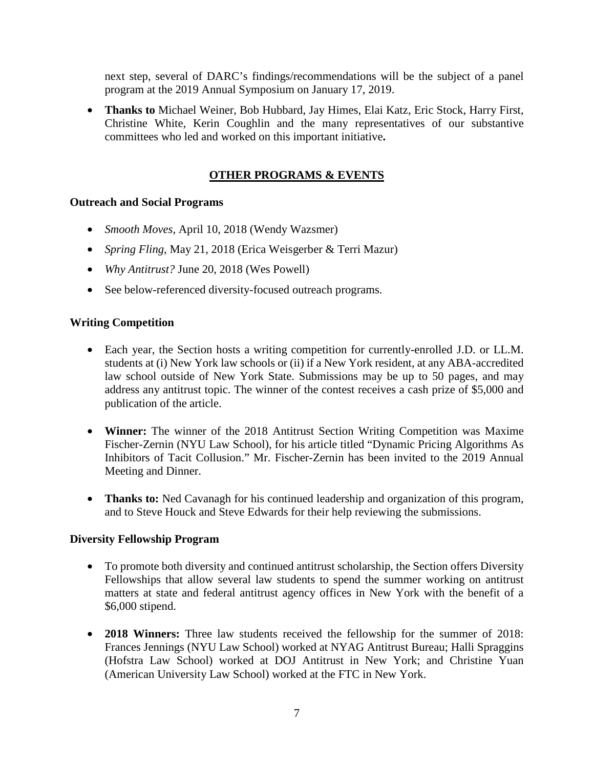next step, several of DARC's findings/recommendations will be the subject of a panel program at the 2019 Annual Symposium on January 17, 2019.

• **Thanks to** Michael Weiner, Bob Hubbard, Jay Himes, Elai Katz, Eric Stock, Harry First, Christine White, Kerin Coughlin and the many representatives of our substantive committees who led and worked on this important initiative**.**

# **OTHER PROGRAMS & EVENTS**

## **Outreach and Social Programs**

- *Smooth Moves*, April 10, 2018 (Wendy Wazsmer)
- *Spring Fling*, May 21, 2018 (Erica Weisgerber & Terri Mazur)
- *Why Antitrust?* June 20, 2018 (Wes Powell)
- See below-referenced diversity-focused outreach programs.

### **Writing Competition**

- Each year, the Section hosts a writing competition for currently-enrolled J.D. or LL.M. students at (i) New York law schools or (ii) if a New York resident, at any ABA-accredited law school outside of New York State. Submissions may be up to 50 pages, and may address any antitrust topic. The winner of the contest receives a cash prize of \$5,000 and publication of the article.
- **Winner:** The winner of the 2018 Antitrust Section Writing Competition was Maxime Fischer-Zernin (NYU Law School), for his article titled "Dynamic Pricing Algorithms As Inhibitors of Tacit Collusion." Mr. Fischer-Zernin has been invited to the 2019 Annual Meeting and Dinner.
- **Thanks to:** Ned Cavanagh for his continued leadership and organization of this program, and to Steve Houck and Steve Edwards for their help reviewing the submissions.

### **Diversity Fellowship Program**

- To promote both diversity and continued antitrust scholarship, the Section offers Diversity Fellowships that allow several law students to spend the summer working on antitrust matters at state and federal antitrust agency offices in New York with the benefit of a \$6,000 stipend.
- **2018 Winners:** Three law students received the fellowship for the summer of 2018: Frances Jennings (NYU Law School) worked at NYAG Antitrust Bureau; Halli Spraggins (Hofstra Law School) worked at DOJ Antitrust in New York; and Christine Yuan (American University Law School) worked at the FTC in New York.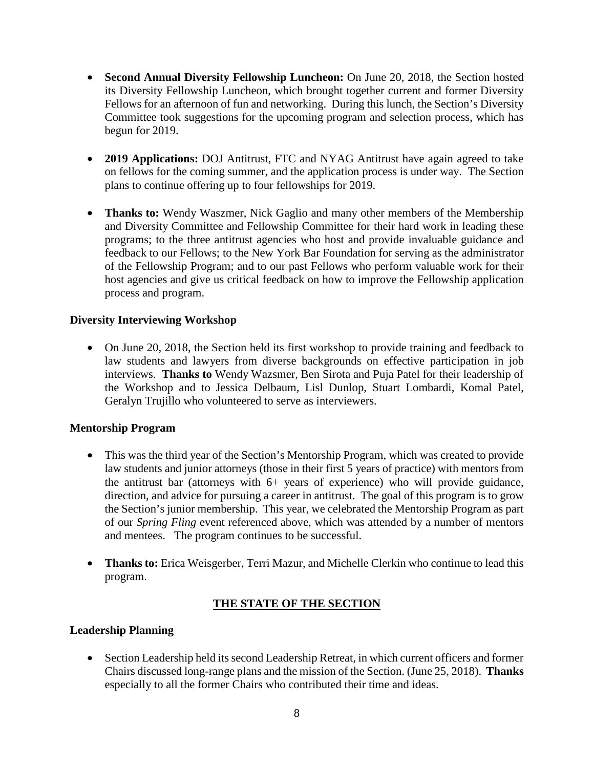- **Second Annual Diversity Fellowship Luncheon:** On June 20, 2018, the Section hosted its Diversity Fellowship Luncheon, which brought together current and former Diversity Fellows for an afternoon of fun and networking. During this lunch, the Section's Diversity Committee took suggestions for the upcoming program and selection process, which has begun for 2019.
- **2019 Applications:** DOJ Antitrust, FTC and NYAG Antitrust have again agreed to take on fellows for the coming summer, and the application process is under way. The Section plans to continue offering up to four fellowships for 2019.
- **Thanks to:** Wendy Waszmer, Nick Gaglio and many other members of the Membership and Diversity Committee and Fellowship Committee for their hard work in leading these programs; to the three antitrust agencies who host and provide invaluable guidance and feedback to our Fellows; to the New York Bar Foundation for serving as the administrator of the Fellowship Program; and to our past Fellows who perform valuable work for their host agencies and give us critical feedback on how to improve the Fellowship application process and program.

## **Diversity Interviewing Workshop**

• On June 20, 2018, the Section held its first workshop to provide training and feedback to law students and lawyers from diverse backgrounds on effective participation in job interviews. **Thanks to** Wendy Wazsmer, Ben Sirota and Puja Patel for their leadership of the Workshop and to Jessica Delbaum, Lisl Dunlop, Stuart Lombardi, Komal Patel, Geralyn Trujillo who volunteered to serve as interviewers.

### **Mentorship Program**

- This was the third year of the Section's Mentorship Program, which was created to provide law students and junior attorneys (those in their first 5 years of practice) with mentors from the antitrust bar (attorneys with 6+ years of experience) who will provide guidance, direction, and advice for pursuing a career in antitrust. The goal of this program is to grow the Section's junior membership. This year, we celebrated the Mentorship Program as part of our *Spring Fling* event referenced above, which was attended by a number of mentors and mentees. The program continues to be successful.
- **Thanks to:** Erica Weisgerber, Terri Mazur, and Michelle Clerkin who continue to lead this program.

# **THE STATE OF THE SECTION**

### **Leadership Planning**

• Section Leadership held its second Leadership Retreat, in which current officers and former Chairs discussed long-range plans and the mission of the Section. (June 25, 2018). **Thanks** especially to all the former Chairs who contributed their time and ideas.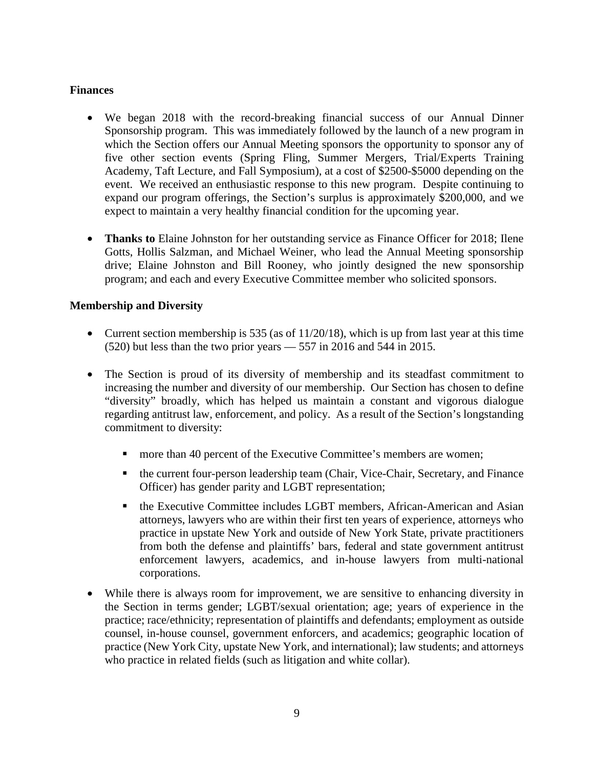### **Finances**

- We began 2018 with the record-breaking financial success of our Annual Dinner Sponsorship program. This was immediately followed by the launch of a new program in which the Section offers our Annual Meeting sponsors the opportunity to sponsor any of five other section events (Spring Fling, Summer Mergers, Trial/Experts Training Academy, Taft Lecture, and Fall Symposium), at a cost of \$2500-\$5000 depending on the event. We received an enthusiastic response to this new program. Despite continuing to expand our program offerings, the Section's surplus is approximately \$200,000, and we expect to maintain a very healthy financial condition for the upcoming year.
- **Thanks to** Elaine Johnston for her outstanding service as Finance Officer for 2018; Ilene Gotts, Hollis Salzman, and Michael Weiner, who lead the Annual Meeting sponsorship drive; Elaine Johnston and Bill Rooney, who jointly designed the new sponsorship program; and each and every Executive Committee member who solicited sponsors.

# **Membership and Diversity**

- Current section membership is 535 (as of  $11/20/18$ ), which is up from last year at this time (520) but less than the two prior years — 557 in 2016 and 544 in 2015.
- The Section is proud of its diversity of membership and its steadfast commitment to increasing the number and diversity of our membership. Our Section has chosen to define "diversity" broadly, which has helped us maintain a constant and vigorous dialogue regarding antitrust law, enforcement, and policy. As a result of the Section's longstanding commitment to diversity:
	- **n** more than 40 percent of the Executive Committee's members are women;
	- the current four-person leadership team (Chair, Vice-Chair, Secretary, and Finance Officer) has gender parity and LGBT representation;
	- the Executive Committee includes LGBT members, African-American and Asian attorneys, lawyers who are within their first ten years of experience, attorneys who practice in upstate New York and outside of New York State, private practitioners from both the defense and plaintiffs' bars, federal and state government antitrust enforcement lawyers, academics, and in-house lawyers from multi-national corporations.
- While there is always room for improvement, we are sensitive to enhancing diversity in the Section in terms gender; LGBT/sexual orientation; age; years of experience in the practice; race/ethnicity; representation of plaintiffs and defendants; employment as outside counsel, in-house counsel, government enforcers, and academics; geographic location of practice (New York City, upstate New York, and international); law students; and attorneys who practice in related fields (such as litigation and white collar).